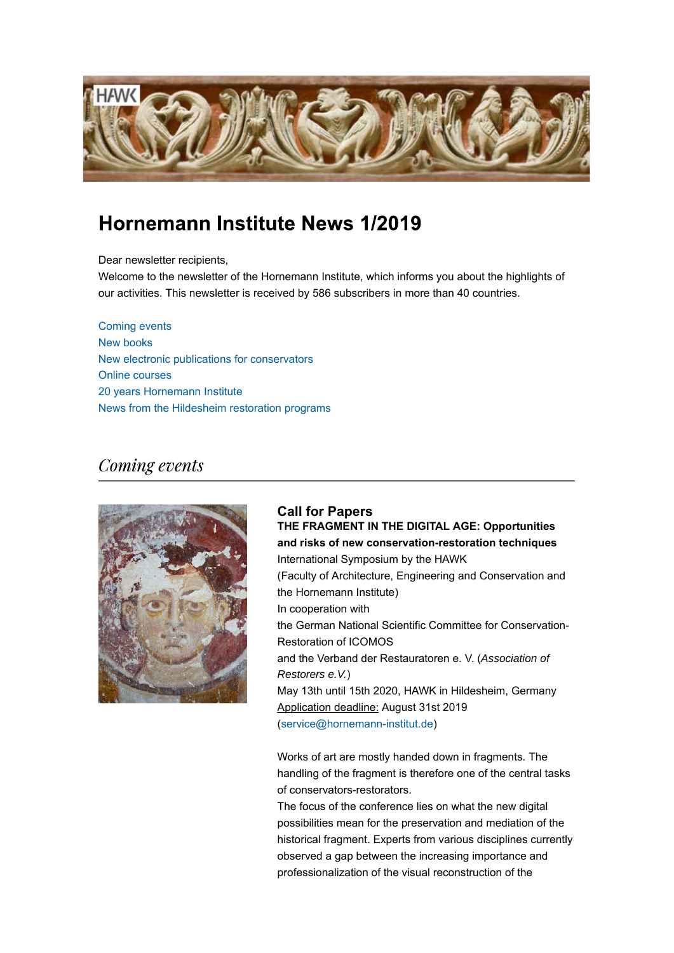

# Hornemann Institute News 1/2019

Dear newsletter recipients,

Welcome to the newsletter of the Hornemann Institute, which informs you about the highlights of our activities. This newsletter is received by 586 subscribers in more than 40 countries.

Coming events New books New electronic publications for conservators Online courses 20 years Hornemann Institute News from the Hildesheim restoration programs

## Coming events



**Call for Papers THE FRAGMENT IN THE DIGITAL AGE: Opportunities and risks of new conservation-restoration techniques** International Symposium by the HAWK (Faculty of Architecture, Engineering and Conservation and the Hornemann Institute) In cooperation with the German National Scientific Committee for Conservation-Restoration of ICOMOS and the Verband der Restauratoren e. V. (*Association of Restorers e.V.*) May 13th until 15th 2020, HAWK in Hildesheim, Germany Application deadline: August 31st 2019 (service@hornemann-institut.de)

Works of art are mostly handed down in fragments. The handling of the fragment is therefore one of the central tasks of conservators-restorators.

The focus of the conference lies on what the new digital possibilities mean for the preservation and mediation of the historical fragment. Experts from various disciplines currently observed a gap between the increasing importance and professionalization of the visual reconstruction of the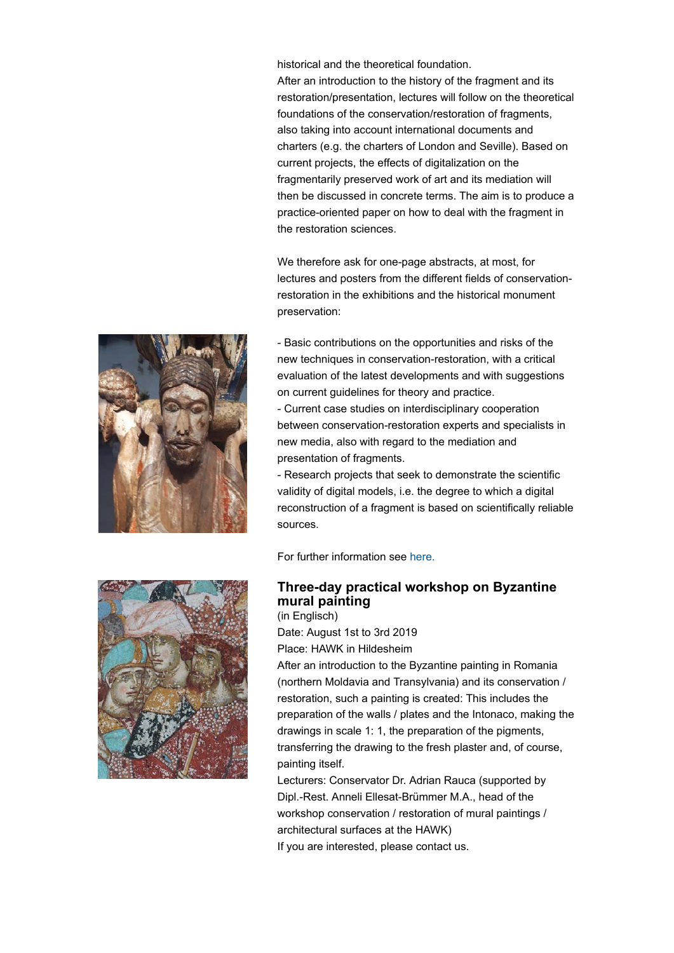historical and the theoretical foundation. After an introduction to the history of the fragment and its restoration/presentation, lectures will follow on the theoretical foundations of the conservation/restoration of fragments, also taking into account international documents and charters (e.g. the charters of London and Seville). Based on current projects, the effects of digitalization on the fragmentarily preserved work of art and its mediation will then be discussed in concrete terms. The aim is to produce a practice-oriented paper on how to deal with the fragment in the restoration sciences.

We therefore ask for one-page abstracts, at most, for lectures and posters from the different fields of conservationrestoration in the exhibitions and the historical monument preservation:



- Basic contributions on the opportunities and risks of the new techniques in conservation-restoration, with a critical evaluation of the latest developments and with suggestions on current guidelines for theory and practice.

- Current case studies on interdisciplinary cooperation between conservation-restoration experts and specialists in new media, also with regard to the mediation and presentation of fragments.

- Research projects that seek to demonstrate the scientific validity of digital models, i.e. the degree to which a digital reconstruction of a fragment is based on scientifically reliable sources.

For further information see here.



#### **Three-day practical workshop on Byzantine mural painting** (in Englisch)

Date: August 1st to 3rd 2019 Place: HAWK in Hildesheim

After an introduction to the Byzantine painting in Romania (northern Moldavia and Transylvania) and its conservation / restoration, such a painting is created: This includes the preparation of the walls / plates and the Intonaco, making the drawings in scale 1: 1, the preparation of the pigments, transferring the drawing to the fresh plaster and, of course, painting itself.

Lecturers: Conservator Dr. Adrian Rauca (supported by Dipl.-Rest. Anneli Ellesat-Brümmer M.A., head of the workshop conservation / restoration of mural paintings / architectural surfaces at the HAWK)

If you are interested, please contact us.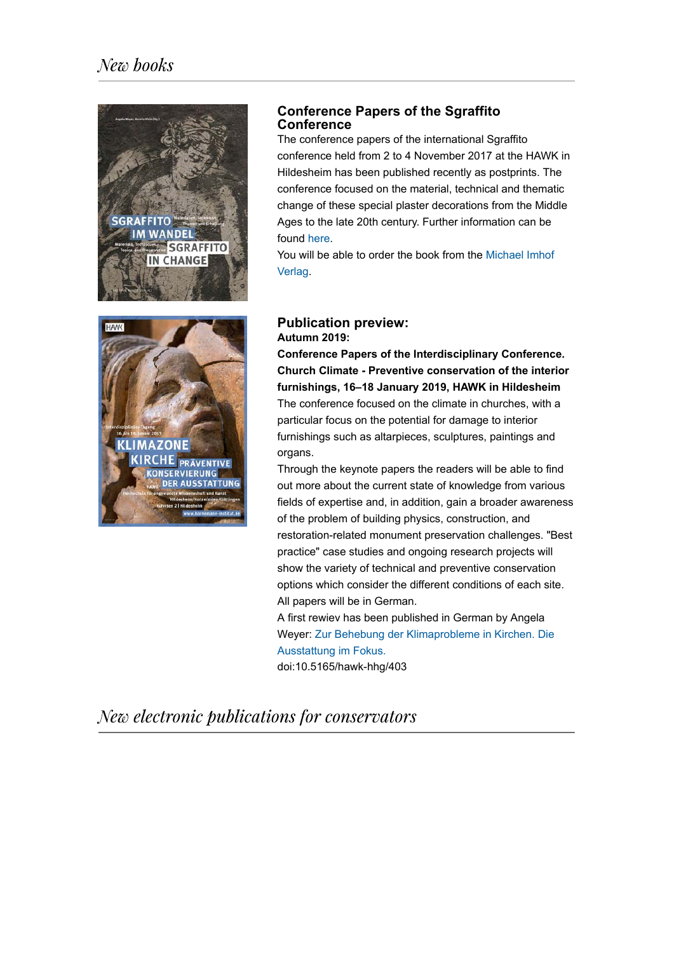



## **Conference Papers of the Sgraffito Conference**

The conference papers of the international Sgraffito conference held from 2 to 4 November 2017 at the HAWK in Hildesheim has been published recently as postprints. The conference focused on the material, technical and thematic change of these special plaster decorations from the Middle Ages to the late 20th century. Further information can be found here.

You will be able to order the book from the Michael Imhof Verlag.

### **Publication preview: Autumn 2019:**

**Conference Papers of the Interdisciplinary Conference. Church Climate - Preventive conservation of the interior furnishings, 16–18 January 2019, HAWK in Hildesheim** The conference focused on the climate in churches, with a particular focus on the potential for damage to interior furnishings such as altarpieces, sculptures, paintings and organs.

Through the keynote papers the readers will be able to find out more about the current state of knowledge from various fields of expertise and, in addition, gain a broader awareness of the problem of building physics, construction, and restoration-related monument preservation challenges. "Best practice" case studies and ongoing research projects will show the variety of technical and preventive conservation options which consider the different conditions of each site. All papers will be in German.

A first rewiev has been published in German by Angela Weyer: Zur Behebung der Klimaprobleme in Kirchen. Die Ausstattung im Fokus.

doi:10.5165/hawk-hhg/403

New electronic publications for conservators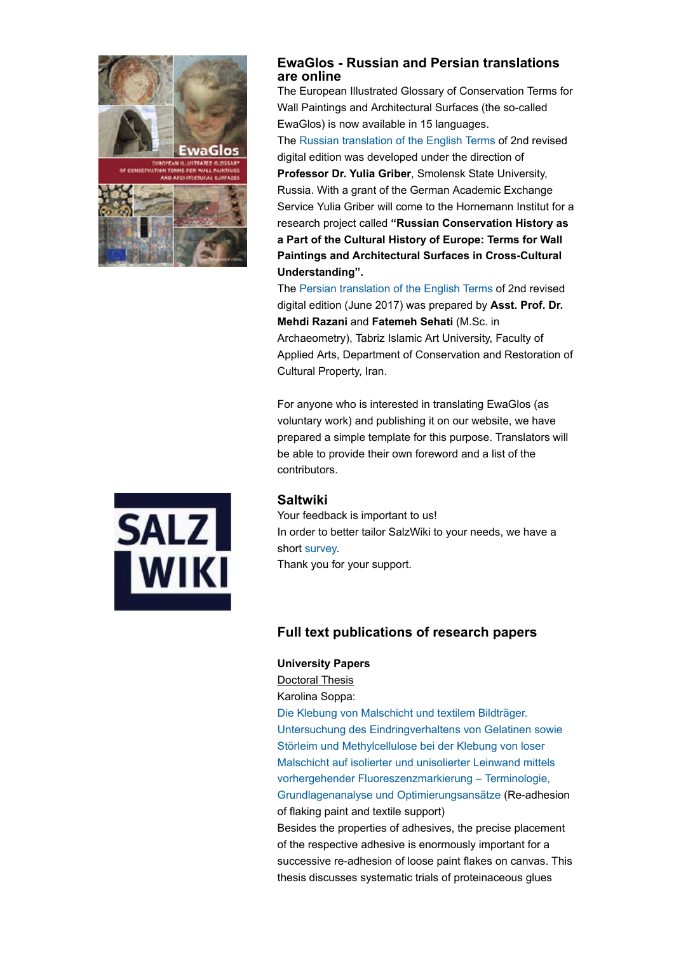

## **EwaGlos - Russian and Persian translations are online**

The European Illustrated Glossary of Conservation Terms for Wall Paintings and Architectural Surfaces (the so-called EwaGlos) is now available in 15 languages. The Russian translation of the English Terms of 2nd revised digital edition was developed under the direction of

**Professor Dr. Yulia Griber**, Smolensk State University, Russia. With a grant of the German Academic Exchange Service Yulia Griber will come to the Hornemann Institut for a research project called **"Russian Conservation History as a Part of the Cultural History of Europe: Terms for Wall Paintings and Architectural Surfaces in Cross-Cultural Understanding".**

The Persian translation of the English Terms of 2nd revised digital edition (June 2017) was prepared by **Asst. Prof. Dr. Mehdi Razani** and **Fatemeh Sehati** (M.Sc. in Archaeometry), Tabriz Islamic Art University, Faculty of Applied Arts, Department of Conservation and Restoration of Cultural Property, Iran.

For anyone who is interested in translating EwaGlos (as voluntary work) and publishing it on our website, we have prepared a simple template for this purpose. Translators will be able to provide their own foreword and a list of the contributors.



#### **Saltwiki**

Your feedback is important to us! In order to better tailor SalzWiki to your needs, we have a short survey. Thank you for your support.

## **Full text publications of research papers**

#### **University Papers**

Doctoral Thesis

Karolina Soppa:

Die Klebung von Malschicht und textilem Bildträger. Untersuchung des Eindringverhaltens von Gelatinen sowie Störleim und Methylcellulose bei der Klebung von loser Malschicht auf isolierter und unisolierter Leinwand mittels vorhergehender Fluoreszenzmarkierung – Terminologie, Grundlagenanalyse und Optimierungsansätze (Re-adhesion of flaking paint and textile support)

Besides the properties of adhesives, the precise placement of the respective adhesive is enormously important for a successive re-adhesion of loose paint flakes on canvas. This thesis discusses systematic trials of proteinaceous glues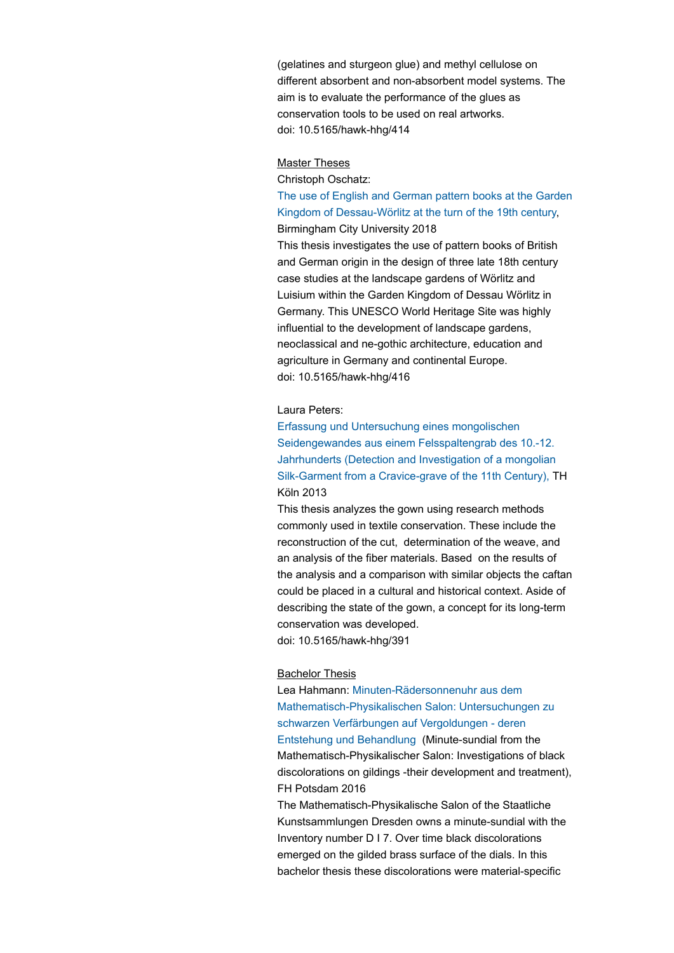(gelatines and sturgeon glue) and methyl cellulose on different absorbent and non-absorbent model systems. The aim is to evaluate the performance of the glues as conservation tools to be used on real artworks. doi: 10.5165/hawk-hhg/414

#### Master Theses

Christoph Oschatz:

### The use of English and German pattern books at the Garden Kingdom of Dessau-Wörlitz at the turn of the 19th century, Birmingham City University 2018

This thesis investigates the use of pattern books of British and German origin in the design of three late 18th century case studies at the landscape gardens of Wörlitz and Luisium within the Garden Kingdom of Dessau Wörlitz in Germany. This UNESCO World Heritage Site was highly influential to the development of landscape gardens, neoclassical and ne-gothic architecture, education and agriculture in Germany and continental Europe. doi: 10.5165/hawk-hhg/416

#### Laura Peters:

Erfassung und Untersuchung eines mongolischen Seidengewandes aus einem Felsspaltengrab des 10.-12. Jahrhunderts (Detection and Investigation of a mongolian Silk-Garment from a Cravice-grave of the 11th Century), TH Köln 2013

This thesis analyzes the gown using research methods commonly used in textile conservation. These include the reconstruction of the cut, determination of the weave, and an analysis of the fiber materials. Based on the results of the analysis and a comparison with similar objects the caftan could be placed in a cultural and historical context. Aside of describing the state of the gown, a concept for its long-term conservation was developed.

doi: 10.5165/hawk-hhg/391

#### Bachelor Thesis

Lea Hahmann: Minuten-Rädersonnenuhr aus dem Mathematisch-Physikalischen Salon: Untersuchungen zu schwarzen Verfärbungen auf Vergoldungen - deren Entstehung und Behandlung (Minute-sundial from the Mathematisch-Physikalischer Salon: Investigations of black discolorations on gildings -their development and treatment), FH Potsdam 2016

The Mathematisch-Physikalische Salon of the Staatliche Kunstsammlungen Dresden owns a minute-sundial with the Inventory number D I 7. Over time black discolorations emerged on the gilded brass surface of the dials. In this bachelor thesis these discolorations were material-specific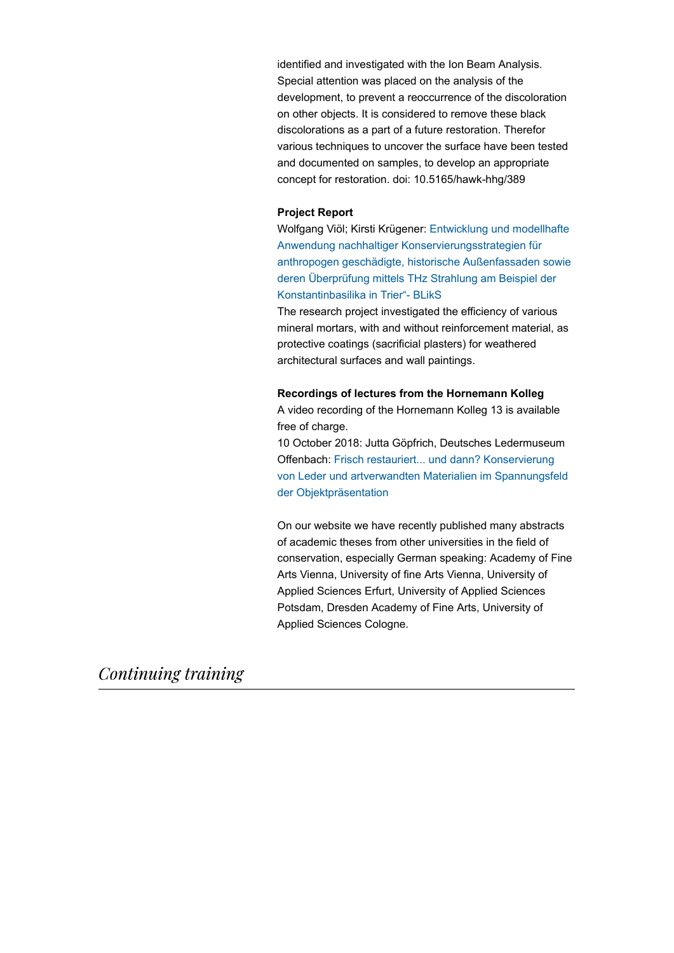identified and investigated with the Ion Beam Analysis. Special attention was placed on the analysis of the development, to prevent a reoccurrence of the discoloration on other objects. It is considered to remove these black discolorations as a part of a future restoration. Therefor various techniques to uncover the surface have been tested and documented on samples, to develop an appropriate concept for restoration. doi: 10.5165/hawk-hhg/389

#### **Project Report**

Wolfgang Viöl; Kirsti Krügener: Entwicklung und modellhafte Anwendung nachhaltiger Konservierungsstrategien für anthropogen geschädigte, historische Außenfassaden sowie deren Überprüfung mittels THz Strahlung am Beispiel der Konstantinbasilika in Trier"- BLikS

The research project investigated the efficiency of various mineral mortars, with and without reinforcement material, as protective coatings (sacrificial plasters) for weathered architectural surfaces and wall paintings.

#### **Recordings of lectures from the Hornemann Kolleg**

A video recording of the Hornemann Kolleg 13 is available free of charge.

10 October 2018: Jutta Göpfrich, Deutsches Ledermuseum Offenbach: Frisch restauriert... und dann? Konservierung von Leder und artverwandten Materialien im Spannungsfeld der Objektpräsentation

On our website we have recently published many abstracts of academic theses from other universities in the field of conservation, especially German speaking: Academy of Fine Arts Vienna, University of fine Arts Vienna, University of Applied Sciences Erfurt, University of Applied Sciences Potsdam, Dresden Academy of Fine Arts, University of Applied Sciences Cologne.

Continuing training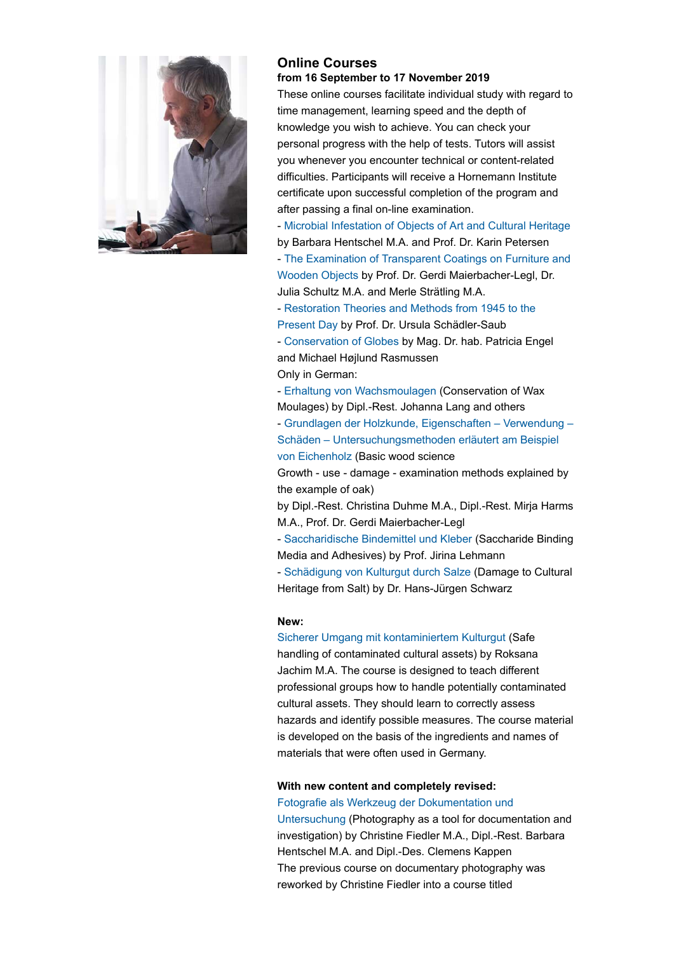

#### **Online Courses from 16 September to 17 November 2019**

These online courses facilitate individual study with regard to time management, learning speed and the depth of knowledge you wish to achieve. You can check your personal progress with the help of tests. Tutors will assist you whenever you encounter technical or content-related difficulties. Participants will receive a Hornemann Institute certificate upon successful completion of the program and after passing a final on-line examination.

- Microbial Infestation of Objects of Art and Cultural Heritage by Barbara Hentschel M.A. and Prof. Dr. Karin Petersen - The Examination of Transparent Coatings on Furniture and Wooden Objects by Prof. Dr. Gerdi Maierbacher-Legl, Dr. Julia Schultz M.A. and Merle Strätling M.A.

- Restoration Theories and Methods from 1945 to the Present Day by Prof. Dr. Ursula Schädler-Saub

- Conservation of Globes by Mag. Dr. hab. Patricia Engel and Michael Højlund Rasmussen

Only in German:

- Erhaltung von Wachsmoulagen (Conservation of Wax Moulages) by Dipl.-Rest. Johanna Lang and others

- Grundlagen der Holzkunde, Eigenschaften – Verwendung – Schäden – Untersuchungsmethoden erläutert am Beispiel von Eichenholz (Basic wood science

Growth - use - damage - examination methods explained by the example of oak)

by Dipl.-Rest. Christina Duhme M.A., Dipl.-Rest. Mirja Harms M.A., Prof. Dr. Gerdi Maierbacher-Legl

- Saccharidische Bindemittel und Kleber (Saccharide Binding Media and Adhesives) by Prof. Jirina Lehmann

- Schädigung von Kulturgut durch Salze (Damage to Cultural Heritage from Salt) by Dr. Hans-Jürgen Schwarz

#### **New:**

Sicherer Umgang mit kontaminiertem Kulturgut (Safe handling of contaminated cultural assets) by Roksana Jachim M.A. The course is designed to teach different professional groups how to handle potentially contaminated cultural assets. They should learn to correctly assess hazards and identify possible measures. The course material is developed on the basis of the ingredients and names of materials that were often used in Germany.

## **With new content and completely revised:**

Fotografie als Werkzeug der Dokumentation und

Untersuchung (Photography as a tool for documentation and investigation) by Christine Fiedler M.A., Dipl.-Rest. Barbara Hentschel M.A. and Dipl.-Des. Clemens Kappen The previous course on documentary photography was reworked by Christine Fiedler into a course titled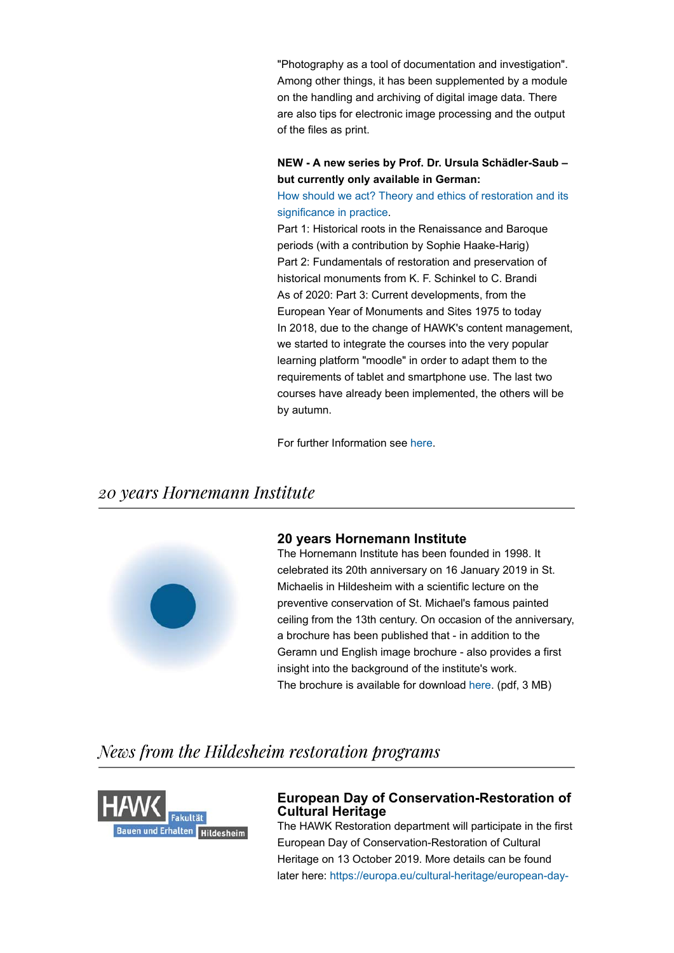"Photography as a tool of documentation and investigation". Among other things, it has been supplemented by a module on the handling and archiving of digital image data. There are also tips for electronic image processing and the output of the files as print.

#### **NEW - A new series by Prof. Dr. Ursula Schädler-Saub – but currently only available in German:**

How should we act? Theory and ethics of restoration and its significance in practice.

Part 1: Historical roots in the Renaissance and Baroque periods (with a contribution by Sophie Haake-Harig) Part 2: Fundamentals of restoration and preservation of historical monuments from K. F. Schinkel to C. Brandi As of 2020: Part 3: Current developments, from the European Year of Monuments and Sites 1975 to today In 2018, due to the change of HAWK's content management, we started to integrate the courses into the very popular learning platform "moodle" in order to adapt them to the requirements of tablet and smartphone use. The last two courses have already been implemented, the others will be by autumn.

For further Information see here.

## 20 years Hornemann Institute



#### **20 years Hornemann Institute**

The Hornemann Institute has been founded in 1998. It celebrated its 20th anniversary on 16 January 2019 in St. Michaelis in Hildesheim with a scientific lecture on the preventive conservation of St. Michael's famous painted ceiling from the 13th century. On occasion of the anniversary, a brochure has been published that - in addition to the Geramn und English image brochure - also provides a first insight into the background of the institute's work. The brochure is available for download here. (pdf, 3 MB)

## News from the Hildesheim restoration programs



### **European Day of Conservation-Restoration of Cultural Heritage**

The HAWK Restoration department will participate in the first European Day of Conservation-Restoration of Cultural Heritage on 13 October 2019. More details can be found later here: https://europa.eu/cultural-heritage/european-day